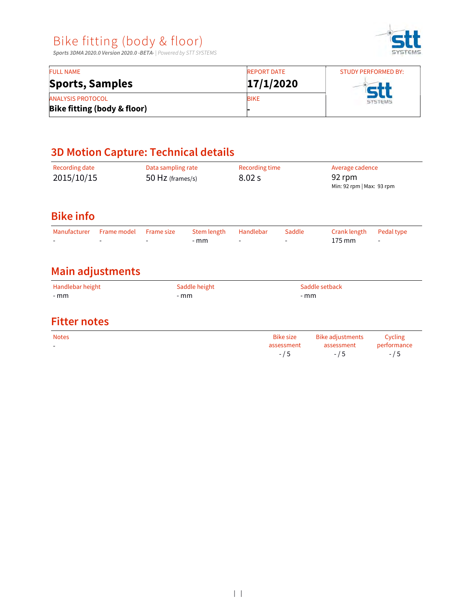Sports 3DMA 2020.0 Version 2020.0 -BETA- | Powered by STT SYSTEMS



| <b>FULL NAME</b>                       | <b>REPORT DATE</b> | <b>STUDY PERFORMED BY:</b><br><b>SYSTEMS</b> |  |  |
|----------------------------------------|--------------------|----------------------------------------------|--|--|
| <b>Sports, Samples</b>                 | 17/1/2020          |                                              |  |  |
| <b>ANALYSIS PROTOCOL</b>               | <b>BIKE</b>        |                                              |  |  |
| <b>Bike fitting (body &amp; floor)</b> |                    |                                              |  |  |

# 3D Motion Capture: Technical details

| Recording date<br>2015/10/15                        |                         | Data sampling rate<br>50 Hz (frames/s) |                      | Recording time<br>8.02 s |                                           | 92 rpm                                           | Average cadence<br>Min: 92 rpm   Max: 93 rpm |  |  |
|-----------------------------------------------------|-------------------------|----------------------------------------|----------------------|--------------------------|-------------------------------------------|--------------------------------------------------|----------------------------------------------|--|--|
| <b>Bike info</b>                                    |                         |                                        |                      |                          |                                           |                                                  |                                              |  |  |
| Manufacturer                                        | Frame model             | Frame size                             | Stem length<br>$-mm$ | Handlebar                | Saddle                                    | Crank length<br>175 mm                           | Pedal type<br>٠                              |  |  |
|                                                     | <b>Main adjustments</b> |                                        |                      |                          |                                           |                                                  |                                              |  |  |
| Handlebar height<br>Saddle height<br>$-mm$<br>$-mm$ |                         | Saddle setback<br>$-mm$                |                      |                          |                                           |                                                  |                                              |  |  |
| <b>Fitter notes</b>                                 |                         |                                        |                      |                          |                                           |                                                  |                                              |  |  |
| <b>Notes</b><br>$\overline{\phantom{a}}$            |                         |                                        |                      |                          | <b>Bike size</b><br>assessment<br>$- / 5$ | <b>Bike adjustments</b><br>assessment<br>$- / 5$ | Cycling<br>performance<br>$-/5$              |  |  |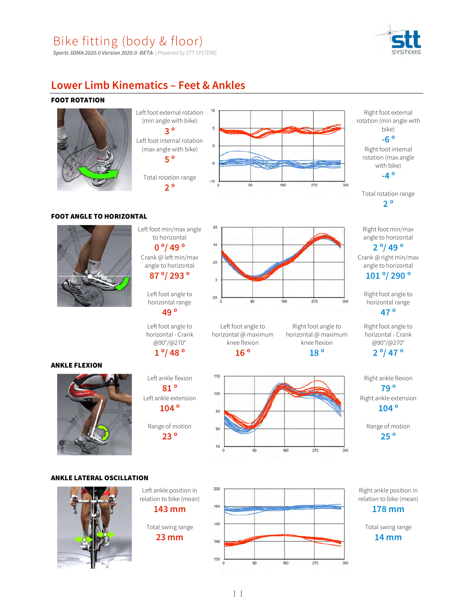

#### Sports 3DMA 2020.0 Version 2020.0 -BETA- | Powered by STT SYSTEMS

### Lower Limb Kinematics – Feet & Ankles

#### FOOT ROTATION







Right foot internal rotation (max angle with bike) -4 º

Total rotation range 2 º

Right foot min/max angle to horizontal

2 º/ 49 º Crank @ right min/max angle to horizontal

101 º/ 290 º

Right foot angle to horizontal range 47 º

Right foot angle to horizontal - Crank @90°/@270° 2 º/ 47 º

Right ankle flexion 79 º Right ankle extension 104 º

> Range of motion 25 º

#### FOOT ANGLE TO HORIZONTAL



ANKLE FLEXION

Left foot min/max angle to horizontal 0 °/ 49 ° 40 Crank @ left min/max angle to horizontal 87 <sup>o</sup>/ 293 <sup>o</sup>

> horizontal range 49 º

Left foot angle to horizontal - Crank @90°/@270°

Left ankle extension

23 º

# 1 º/ 48 º

horizontal @ maximum knee flexion 16 º

90



180

180

ANKLE LATERAL OSCILLATION





Right ankle position in relation to bike (mean) 178 mm

Total swing range 14 mm

360

Left foot angle to

Left foot angle to



Right foot angle to horizontal @ maximum knee flexion

270

270

360

360

18 º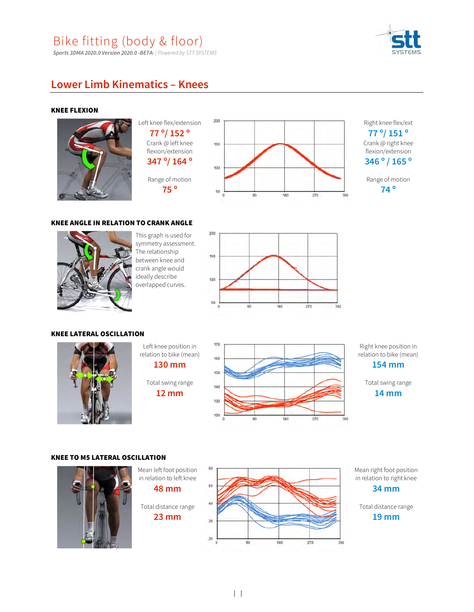Sports 3DMA 2020.0 Version 2020.0 -BETA- | Powered by STT SYSTEMS



### Lower Limb Kinematics – Knees

#### KNEE FLEXION



77 º/ 152 º Crank @ left knee flexion/extension  $347^{\circ}/164^{\circ}$ Range of motion



Right knee flex/ext 77 º/ 151 º Crank @ right knee

flexion/extension 346 º / 165 º

Range of motion 74 º

#### KNEE ANGLE IN RELATION TO CRANK ANGLE



This graph is used for 200 symmetry assessment. The relationship The relationship<br>between knee and crank angle would ideally describe overlapped curves.



#### KNEE LATERAL OSCILLATION

![](_page_2_Picture_16.jpeg)

Left knee position in 170 relation to bike (mean) 130 mm

Total swing range  $12 \text{ mm}$ 

![](_page_2_Figure_19.jpeg)

Right knee position in relation to bike (mean) 154 mm

![](_page_2_Figure_21.jpeg)

#### KNEE TO M5 LATERAL OSCILLATION

![](_page_2_Picture_23.jpeg)

Mean left foot position 60 Mean right foot position in relation to left knee in relation to right knee 48 mm 34 mm Total distance range Total distance range 23 mm 19 mm $20$ 90 180 270 360

 $| \cdot |$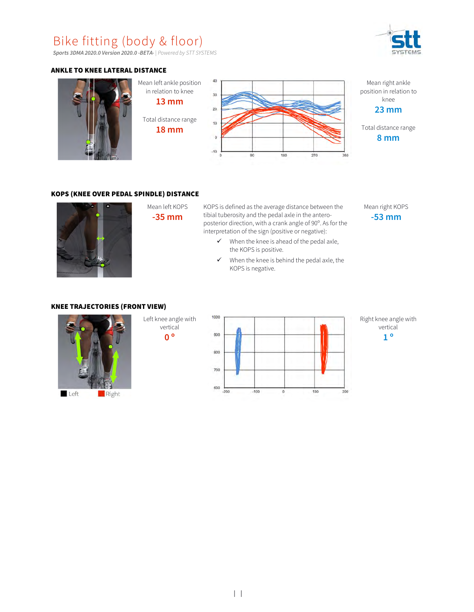Sports 3DMA 2020.0 Version 2020.0 -BETA- | Powered by STT SYSTEMS

#### ANKLE TO KNEE LATERAL DISTANCE

![](_page_3_Figure_3.jpeg)

#### KOPS (KNEE OVER PEDAL SPINDLE) DISTANCE

![](_page_3_Picture_5.jpeg)

Mean left KOPS KOPS is defined as the average distance between the herold M **-35 mm** tibial tuberosity and the pedal axle in the anteroposterior direction, with a crank angle of 90º. As for the interpretation of the sign (positive or negative):

- $\checkmark$  When the knee is ahead of the pedal axle, the KOPS is positive.
- $\checkmark$  When the knee is behind the pedal axle, the KOPS is negative.

![](_page_3_Picture_10.jpeg)

#### KNEE TRAJECTORIES (FRONT VIEW)

![](_page_3_Picture_12.jpeg)

Left knee angle with 1000 vertical 0 ° <sup>900</sup>

![](_page_3_Figure_14.jpeg)

Right knee angle with vertical 1 º

![](_page_3_Figure_16.jpeg)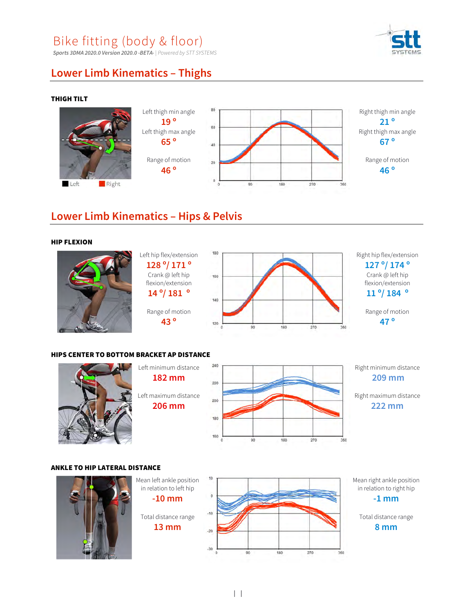Sports 3DMA 2020.0 Version 2020.0 -BETA- | Powered by STT SYSTEMS

![](_page_4_Picture_2.jpeg)

### Lower Limb Kinematics – Thighs

#### THIGH TILT

![](_page_4_Figure_5.jpeg)

### Lower Limb Kinematics – Hips & Pelvis

#### HIP FLEXION

![](_page_4_Picture_8.jpeg)

Left hip flex/extension 180 128 º/ 171 º Crank @ left hip 160 flexion/extension  $14^{\circ}/181^{\circ}$ Range of motion 43 º

![](_page_4_Figure_10.jpeg)

Right hip flex/extension 127 º/ 174 º Crank @ left hip flexion/extension 11 º/ 184 º

> Range of motion 47 º

#### HIPS CENTER TO BOTTOM BRACKET AP DISTANCE

![](_page_4_Picture_14.jpeg)

Right minimum distance 209 mm

Right maximum distance 222 mm

360

#### ANKLE TO HIP LATERAL DISTANCE

![](_page_4_Figure_18.jpeg)

![](_page_4_Figure_19.jpeg)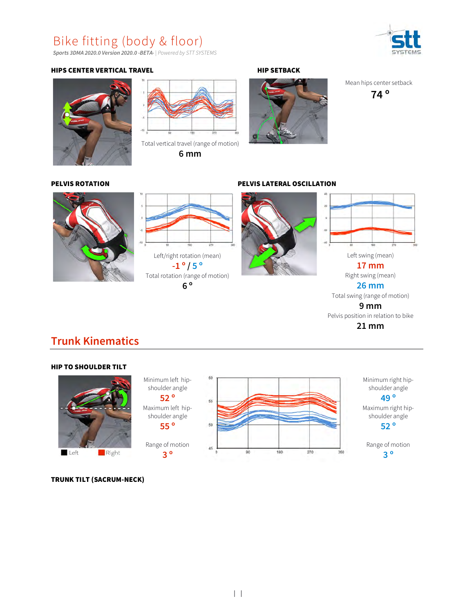Sports 3DMA 2020.0 Version 2020.0 -BETA- | Powered by STT SYSTEMS

#### HIPS CENTER VERTICAL TRAVEL **HIP SETBACK**

![](_page_5_Picture_3.jpeg)

![](_page_5_Picture_4.jpeg)

Total vertical travel (range of motion) 6 mm

![](_page_5_Picture_7.jpeg)

Mean hips center setback

74 º

PELVIS ROTATION PELVIS LATERAL OSCILLATION

![](_page_5_Picture_11.jpeg)

![](_page_5_Figure_12.jpeg)

![](_page_5_Picture_13.jpeg)

![](_page_5_Figure_14.jpeg)

17 mm

Right swing (mean) 26 mm

Total swing (range of motion)

9 mm

Pelvis position in relation to bike

### 21 mm

### Trunk Kinematics

#### HIP TO SHOULDER TILT Minimum left hipshoulder angle

![](_page_5_Picture_23.jpeg)

![](_page_5_Figure_24.jpeg)

Range of motion 3 º

![](_page_5_Figure_26.jpeg)

Minimum right hip shoulder angle

49 º

Maximum right hipshoulder angle 52 º

Range of motion 3 º

TRUNK TILT (SACRUM-NECK)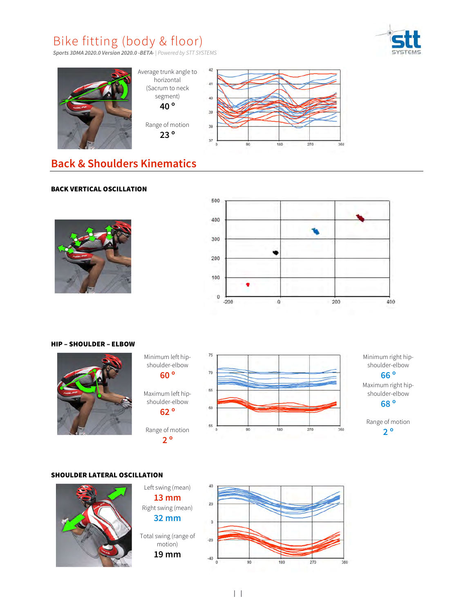![](_page_6_Picture_1.jpeg)

Sports 3DMA 2020.0 Version 2020.0 -BETA- | Powered by STT SYSTEMS

![](_page_6_Figure_3.jpeg)

### Back & Shoulders Kinematics

#### BACK VERTICAL OSCILLATION

![](_page_6_Picture_6.jpeg)

![](_page_6_Figure_7.jpeg)

#### HIP – SHOULDER – ELBOW

![](_page_6_Picture_9.jpeg)

Minimum left hipshoulder-elbow<br>
2020 60 º Maximum left hipshoulder-elbow 62 º

75

65

2 º

![](_page_6_Figure_11.jpeg)

Minimum right hipshoulder-elbow 66 º

Maximum right hipshoulder-elbow 68 º

Range of motion 2 º

#### SHOULDER LATERAL OSCILLATION

![](_page_6_Picture_16.jpeg)

![](_page_6_Figure_17.jpeg)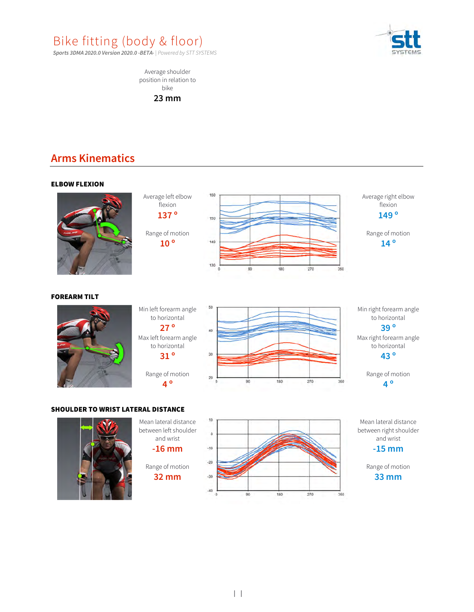![](_page_7_Picture_0.jpeg)

Sports 3DMA 2020.0 Version 2020.0 -BETA- | Powered by STT SYSTEMS

![](_page_7_Picture_2.jpeg)

Average shoulder position in relation to bike

23 mm

## Arms Kinematics

![](_page_7_Figure_6.jpeg)